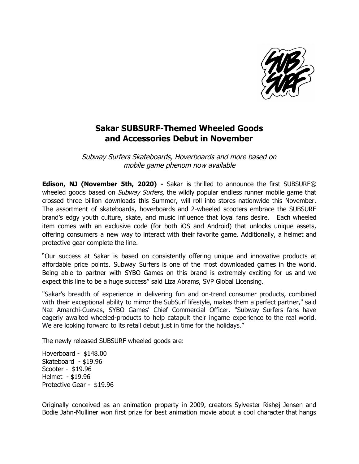

## **Sakar SUBSURF-Themed Wheeled Goods and Accessories Debut in November**

Subway Surfers Skateboards, Hoverboards and more based on mobile game phenom now available

**Edison, NJ (November 5th, 2020) -** Sakar is thrilled to announce the first SUBSURF® wheeled goods based on *Subway Surfers*, the wildly popular endless runner mobile game that crossed three billion downloads this Summer, will roll into stores nationwide this November. The assortment of skateboards, hoverboards and 2-wheeled scooters embrace the SUBSURF brand's edgy youth culture, skate, and music influence that loyal fans desire. Each wheeled item comes with an exclusive code (for both iOS and Android) that unlocks unique assets, offering consumers a new way to interact with their favorite game. Additionally, a helmet and protective gear complete the line.

"Our success at Sakar is based on consistently offering unique and innovative products at affordable price points. Subway Surfers is one of the most downloaded games in the world. Being able to partner with SYBO Games on this brand is extremely exciting for us and we expect this line to be a huge success" said Liza Abrams, SVP Global Licensing.

"Sakar's breadth of experience in delivering fun and on-trend consumer products, combined with their exceptional ability to mirror the SubSurf lifestyle, makes them a perfect partner," said Naz Amarchi-Cuevas, SYBO Games' Chief Commercial Officer. "Subway Surfers fans have eagerly awaited wheeled-products to help catapult their ingame experience to the real world. We are looking forward to its retail debut just in time for the holidays."

The newly released SUBSURF wheeled goods are:

Hoverboard - \$148.00 Skateboard - \$19.96 Scooter - \$19.96 Helmet - \$19.96 Protective Gear - \$19.96

Originally conceived as an animation property in 2009, creators Sylvester Rishøj Jensen and Bodie Jahn-Mulliner won first prize for best animation movie about a cool character that hangs